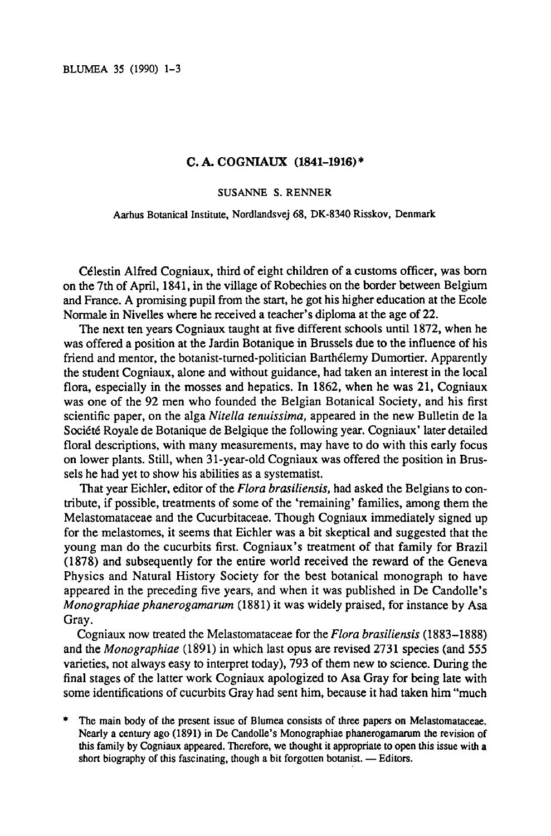BLUMEA <sup>35</sup> (1990) 1-3

## C. A. COGNIAUX (1841-1916)\*

## SUSANNE S. RENNER

Aarhus Botanical Institute, Nordlandsvej 68, DK-8340 Risskov, Denmark

Célestin Alfred Cogniaux, third of eight children of a customs officer, was born on the 7th of April, 1841, in the village of Robechies on the border between Belgium and France. A promising pupil from the start, he got his higher education at the Ecole Normale in Nivelles where he received a teacher's diploma at the age of 22.

The next ten years Cogniaux taught at five different schools until 1872, when he was offered a position at the Jardin Botanique in Brussels due to the influence of his friend and mentor, the botanist-turned-politician Barthélemy Dumortier. Apparently the student Cogniaux, alone and without guidance, had taken an interest in the local flora, especially in the mosses and hepatics. In 1862, when he was 21, Cogniaux was one of the 92 men who founded the Belgian Botanical Society, and his first scientific paper, on the alga Nitella tenuissima, appeared in the new Bulletin de la Société Royale de Botanique de Belgique the following year. Cogniaux' later detailed floral descriptions, with many measurements, may have to do with this early focus on lower plants. Still, when 31-year-old Cogniaux was offered the position in Brussels he had yet to show his abilities as <sup>a</sup> systematist.

That year Eichler, editor of the Flora brasiliensis, had asked the Belgians to contribute, if possible, treatments of some of the 'remaining' families, among them the Melastomataceae and the Cucurbitaceae. Though Cogniaux immediately signed up for the melastomes, it seems that Eichler was <sup>a</sup> bit skeptical and suggested that the young man do the cucurbits first. Cogniaux's treatment of that family for Brazil (1878) and subsequently for the entire world received the reward of the Geneva Physics and Natural History Society for the best botanical monograph to have appeared in the preceding five years, and when it was published in De Candolle's Monographiae phanerogamarum (1881) it was widely praised, for instance by Asa Gray.

Cogniaux now treated the Melastomataceae for the *Flora brasiliensis* (1883–1888) and the Monographiae (1891) in which last opus are revised 2731 species (and 555 varieties, not always easy to interpret today), <sup>793</sup> of themnew to science. During the final stages of the latter work Cogniaux apologized to Asa Gray for being late with some identifications of cucurbits Gray had sent him, because it had taken him "much"

The main body of the present issue of Blumea consists of three papers on Melastomataceae. Nearly a century ago (1891) in De Candolle's Monographiae phanerogamarum the revision of this family by Cogniaux appeared. Therefore, we thought it appropriate to open this issue with a short biography of this fascinating, though a bit forgotten botanist. — Editors.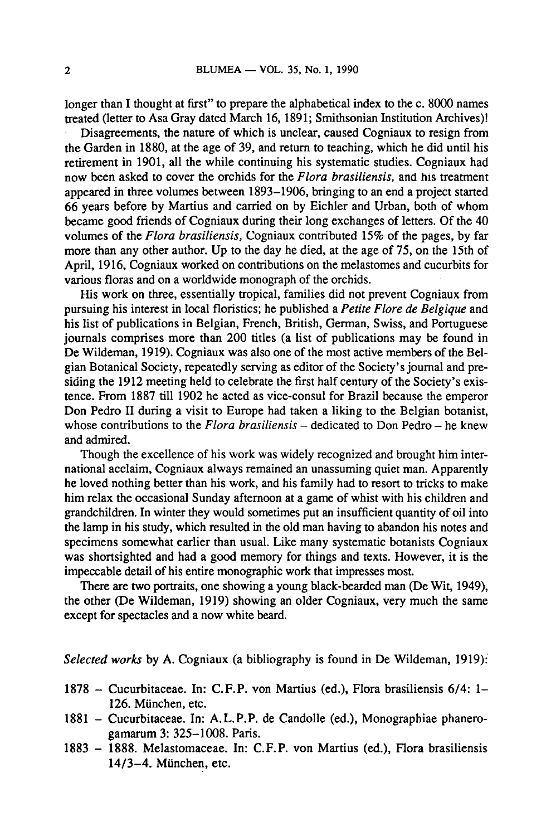longer than I thought at first" to prepare the alphabetical index to the c. <sup>8000</sup> names treated (letter to Asa Gray dated March 16, 1891; Smithsonian Institution Archives)!

Disagreements, the nature of which is unclear, caused Cogniaux to resign from the Garden in 1880, at the age of 39, and return to teaching, which he did until his retirement in 1901, all the while continuing his systematic studies. Cogniaux had now been asked to cover the orchids for the Flora brasiliensis, and his treatment appeared in three volumes between 1893-1906, bringing to an end <sup>a</sup> project started <sup>66</sup> years before by Martius and carried on by Eichler and Urban, both of whom became good friends of Cogniaux during their long exchanges of letters. Of the 40 volumes of the Flora brasiliensis, Cogniaux contributed 15% of the pages, by far more than any other author. Up to the day he died, at the age of 75, on the 15th of April, 1916, Cogniaux worked on contributions on the melastomes and cucurbits for various floras and on <sup>a</sup> worldwide monograph of the orchids.

His work on three, essentially tropical, families did not prevent Cogniaux from pursuing his interest in local floristics; he published a *Petite Flore de Belgique* and his list of publications in Belgian, French, British, German, Swiss, and Portuguese journals comprises more than 200 titles (a list of publications may be found in De Wildeman, 1919). Cogniaux was also one of the most active members of the Belgian Botanical Society, repeatedly serving as editor of the Society's journal and presiding the 1912 meeting held to celebrate the first half century of the Society's existence. From <sup>1887</sup> till <sup>1902</sup> he acted as vice-consul for Brazil because the emperor Don Pedro II during <sup>a</sup> visit to Europe had taken <sup>a</sup> liking to the Belgian botanist, whose contributions to the *Flora brasiliensis* – dedicated to Don Pedro – he knew and admired.

Though the excellence of his work was widely recognized and brought him international acclaim, Cogniaux always remained an unassuming quiet man. Apparently he loved nothing better than his work, and his family had to resort to tricks to make him relax the occasional Sunday afternoon at a game of whist with his children and grandchildren. In winter they would sometimes put an insufficient quantity of oil into the lamp in his study, which resulted in the old man having to abandon his notes and specimens somewhat earlier than usual. Like many systematic botanists Cogniaux was shortsighted and had <sup>a</sup> good memory for things and texts. However, it is the impeccable detail of his entire monographic work that impresses most.

There are two portraits, one showing <sup>a</sup> young black-bearded man (De Wit, 1949), the other (De Wildeman, 1919) showing an older Cogniaux, very much the same except for spectacles and <sup>a</sup> now white beard.

Selected works by A. Cogniaux (a bibliography is found in De Wildeman, 1919):

- 1878 Cucurbitaceae. In: C.F.P. von Martius (ed.), Flora brasiliensis 6/4: 1-126. Miinchen, etc.
- 1881 Cucurbitaceae. In: A.L.P.P. de Candolle (ed.), Monographiae phanerogamarum3: 325-1008. Paris.
- 1883 1888. Melastomaceae. In: C.F.P. von Martius (ed.), Flora brasiliensis 14/3-4. Miinchen, etc.